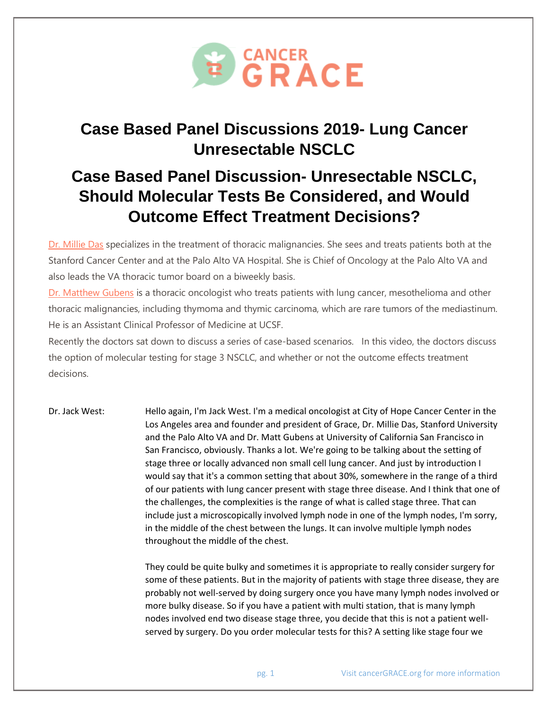

## **Case Based Panel Discussions 2019- Lung Cancer Unresectable NSCLC**

## **Case Based Panel Discussion- Unresectable NSCLC, Should Molecular Tests Be Considered, and Would Outcome Effect Treatment Decisions?**

Dr. [Millie](https://profiles.stanford.edu/millie-das) Das specializes in the treatment of thoracic malignancies. She sees and treats patients both at the Stanford Cancer Center and at the Palo Alto VA Hospital. She is Chief of Oncology at the Palo Alto VA and also leads the VA thoracic tumor board on a biweekly basis.

Dr. [Matthew](https://top.ucsf.edu/meet-the-team/medical-oncologists/matthew-a-gubens,-md,-ms.aspx) Gubens is a thoracic oncologist who treats patients with lung cancer, mesothelioma and other thoracic malignancies, including thymoma and thymic carcinoma, which are rare tumors of the mediastinum. He is an Assistant Clinical Professor of Medicine at UCSF.

Recently the doctors sat down to discuss a series of case-based scenarios. In this video, the doctors discuss the option of molecular testing for stage 3 NSCLC, and whether or not the outcome effects treatment decisions.

Dr. Jack West: Hello again, I'm Jack West. I'm a medical oncologist at City of Hope Cancer Center in the Los Angeles area and founder and president of Grace, Dr. Millie Das, Stanford University and the Palo Alto VA and Dr. Matt Gubens at University of California San Francisco in San Francisco, obviously. Thanks a lot. We're going to be talking about the setting of stage three or locally advanced non small cell lung cancer. And just by introduction I would say that it's a common setting that about 30%, somewhere in the range of a third of our patients with lung cancer present with stage three disease. And I think that one of the challenges, the complexities is the range of what is called stage three. That can include just a microscopically involved lymph node in one of the lymph nodes, I'm sorry, in the middle of the chest between the lungs. It can involve multiple lymph nodes throughout the middle of the chest.

> They could be quite bulky and sometimes it is appropriate to really consider surgery for some of these patients. But in the majority of patients with stage three disease, they are probably not well-served by doing surgery once you have many lymph nodes involved or more bulky disease. So if you have a patient with multi station, that is many lymph nodes involved end two disease stage three, you decide that this is not a patient wellserved by surgery. Do you order molecular tests for this? A setting like stage four we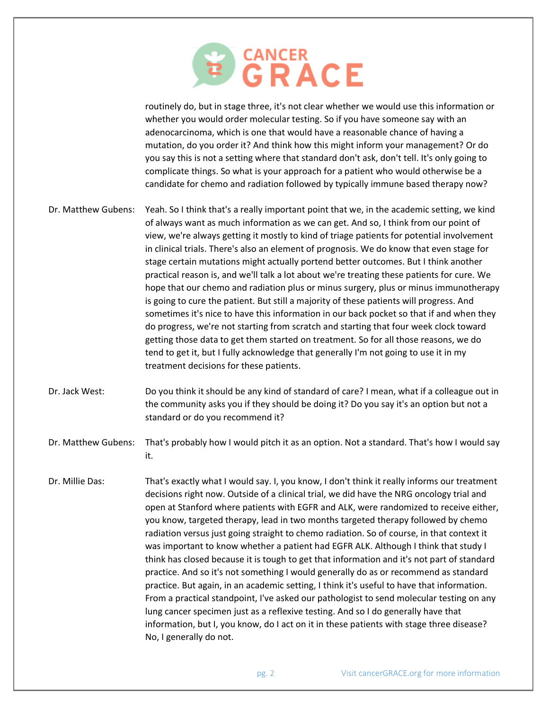

routinely do, but in stage three, it's not clear whether we would use this information or whether you would order molecular testing. So if you have someone say with an adenocarcinoma, which is one that would have a reasonable chance of having a mutation, do you order it? And think how this might inform your management? Or do you say this is not a setting where that standard don't ask, don't tell. It's only going to complicate things. So what is your approach for a patient who would otherwise be a candidate for chemo and radiation followed by typically immune based therapy now?

- Dr. Matthew Gubens: Yeah. So I think that's a really important point that we, in the academic setting, we kind of always want as much information as we can get. And so, I think from our point of view, we're always getting it mostly to kind of triage patients for potential involvement in clinical trials. There's also an element of prognosis. We do know that even stage for stage certain mutations might actually portend better outcomes. But I think another practical reason is, and we'll talk a lot about we're treating these patients for cure. We hope that our chemo and radiation plus or minus surgery, plus or minus immunotherapy is going to cure the patient. But still a majority of these patients will progress. And sometimes it's nice to have this information in our back pocket so that if and when they do progress, we're not starting from scratch and starting that four week clock toward getting those data to get them started on treatment. So for all those reasons, we do tend to get it, but I fully acknowledge that generally I'm not going to use it in my treatment decisions for these patients.
- Dr. Jack West: Do you think it should be any kind of standard of care? I mean, what if a colleague out in the community asks you if they should be doing it? Do you say it's an option but not a standard or do you recommend it?
- Dr. Matthew Gubens: That's probably how I would pitch it as an option. Not a standard. That's how I would say it.
- Dr. Millie Das: That's exactly what I would say. I, you know, I don't think it really informs our treatment decisions right now. Outside of a clinical trial, we did have the NRG oncology trial and open at Stanford where patients with EGFR and ALK, were randomized to receive either, you know, targeted therapy, lead in two months targeted therapy followed by chemo radiation versus just going straight to chemo radiation. So of course, in that context it was important to know whether a patient had EGFR ALK. Although I think that study I think has closed because it is tough to get that information and it's not part of standard practice. And so it's not something I would generally do as or recommend as standard practice. But again, in an academic setting, I think it's useful to have that information. From a practical standpoint, I've asked our pathologist to send molecular testing on any lung cancer specimen just as a reflexive testing. And so I do generally have that information, but I, you know, do I act on it in these patients with stage three disease? No, I generally do not.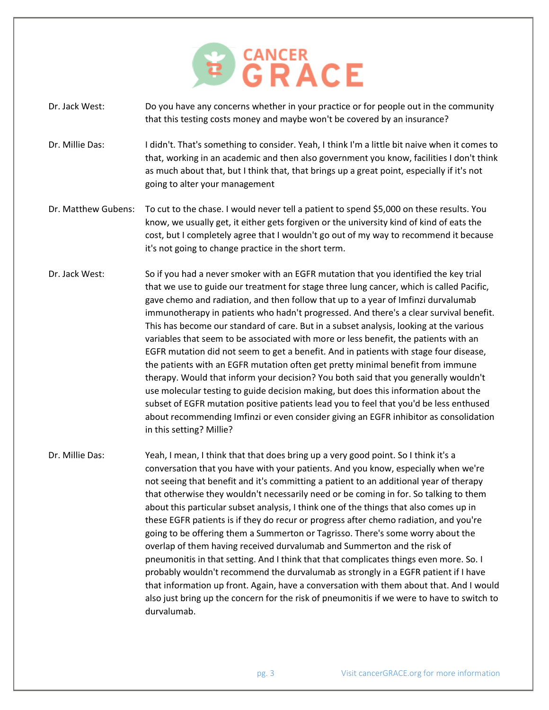

- Dr. Jack West: Do you have any concerns whether in your practice or for people out in the community that this testing costs money and maybe won't be covered by an insurance?
- Dr. Millie Das: I didn't. That's something to consider. Yeah, I think I'm a little bit naive when it comes to that, working in an academic and then also government you know, facilities I don't think as much about that, but I think that, that brings up a great point, especially if it's not going to alter your management
- Dr. Matthew Gubens: To cut to the chase. I would never tell a patient to spend \$5,000 on these results. You know, we usually get, it either gets forgiven or the university kind of kind of eats the cost, but I completely agree that I wouldn't go out of my way to recommend it because it's not going to change practice in the short term.
- Dr. Jack West: So if you had a never smoker with an EGFR mutation that you identified the key trial that we use to guide our treatment for stage three lung cancer, which is called Pacific, gave chemo and radiation, and then follow that up to a year of Imfinzi durvalumab immunotherapy in patients who hadn't progressed. And there's a clear survival benefit. This has become our standard of care. But in a subset analysis, looking at the various variables that seem to be associated with more or less benefit, the patients with an EGFR mutation did not seem to get a benefit. And in patients with stage four disease, the patients with an EGFR mutation often get pretty minimal benefit from immune therapy. Would that inform your decision? You both said that you generally wouldn't use molecular testing to guide decision making, but does this information about the subset of EGFR mutation positive patients lead you to feel that you'd be less enthused about recommending Imfinzi or even consider giving an EGFR inhibitor as consolidation in this setting? Millie?
- Dr. Millie Das: Yeah, I mean, I think that that does bring up a very good point. So I think it's a conversation that you have with your patients. And you know, especially when we're not seeing that benefit and it's committing a patient to an additional year of therapy that otherwise they wouldn't necessarily need or be coming in for. So talking to them about this particular subset analysis, I think one of the things that also comes up in these EGFR patients is if they do recur or progress after chemo radiation, and you're going to be offering them a Summerton or Tagrisso. There's some worry about the overlap of them having received durvalumab and Summerton and the risk of pneumonitis in that setting. And I think that that complicates things even more. So. I probably wouldn't recommend the durvalumab as strongly in a EGFR patient if I have that information up front. Again, have a conversation with them about that. And I would also just bring up the concern for the risk of pneumonitis if we were to have to switch to durvalumab.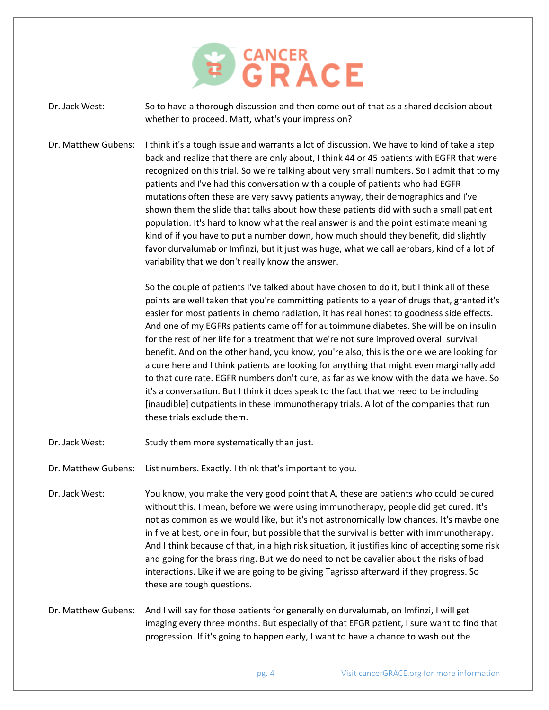

Dr. Jack West: So to have a thorough discussion and then come out of that as a shared decision about whether to proceed. Matt, what's your impression?

Dr. Matthew Gubens: I think it's a tough issue and warrants a lot of discussion. We have to kind of take a step back and realize that there are only about, I think 44 or 45 patients with EGFR that were recognized on this trial. So we're talking about very small numbers. So I admit that to my patients and I've had this conversation with a couple of patients who had EGFR mutations often these are very savvy patients anyway, their demographics and I've shown them the slide that talks about how these patients did with such a small patient population. It's hard to know what the real answer is and the point estimate meaning kind of if you have to put a number down, how much should they benefit, did slightly favor durvalumab or Imfinzi, but it just was huge, what we call aerobars, kind of a lot of variability that we don't really know the answer.

> So the couple of patients I've talked about have chosen to do it, but I think all of these points are well taken that you're committing patients to a year of drugs that, granted it's easier for most patients in chemo radiation, it has real honest to goodness side effects. And one of my EGFRs patients came off for autoimmune diabetes. She will be on insulin for the rest of her life for a treatment that we're not sure improved overall survival benefit. And on the other hand, you know, you're also, this is the one we are looking for a cure here and I think patients are looking for anything that might even marginally add to that cure rate. EGFR numbers don't cure, as far as we know with the data we have. So it's a conversation. But I think it does speak to the fact that we need to be including [inaudible] outpatients in these immunotherapy trials. A lot of the companies that run these trials exclude them.

- Dr. Jack West: Study them more systematically than just.
- Dr. Matthew Gubens: List numbers. Exactly. I think that's important to you.
- Dr. Jack West: You know, you make the very good point that A, these are patients who could be cured without this. I mean, before we were using immunotherapy, people did get cured. It's not as common as we would like, but it's not astronomically low chances. It's maybe one in five at best, one in four, but possible that the survival is better with immunotherapy. And I think because of that, in a high risk situation, it justifies kind of accepting some risk and going for the brass ring. But we do need to not be cavalier about the risks of bad interactions. Like if we are going to be giving Tagrisso afterward if they progress. So these are tough questions.
- Dr. Matthew Gubens: And I will say for those patients for generally on durvalumab, on Imfinzi, I will get imaging every three months. But especially of that EFGR patient, I sure want to find that progression. If it's going to happen early, I want to have a chance to wash out the